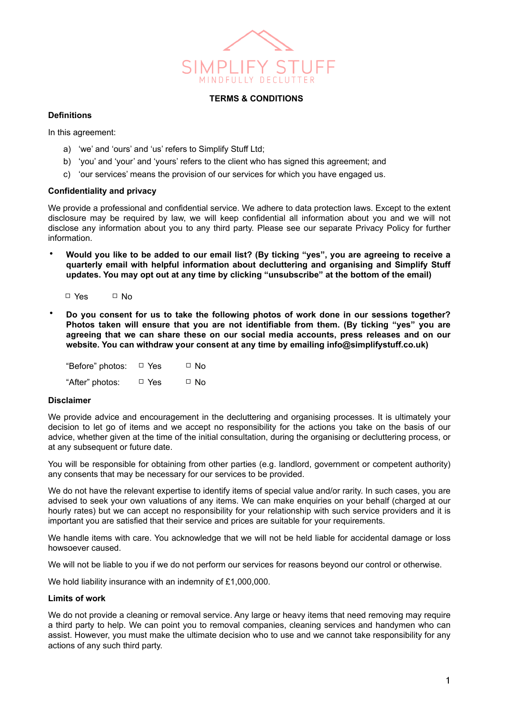

### **TERMS & CONDITIONS**

## **Definitions**

In this agreement:

- a) 'we' and 'ours' and 'us' refers to Simplify Stuff Ltd;
- b) 'you' and 'your' and 'yours' refers to the client who has signed this agreement; and
- c) 'our services' means the provision of our services for which you have engaged us.

## **Confidentiality and privacy**

We provide a professional and confidential service. We adhere to data protection laws. Except to the extent disclosure may be required by law, we will keep confidential all information about you and we will not disclose any information about you to any third party. Please see our separate Privacy Policy for further information.

• **Would you like to be added to our email list? (By ticking "yes", you are agreeing to receive a quarterly email with helpful information about decluttering and organising and Simplify Stuff updates. You may opt out at any time by clicking "unsubscribe" at the bottom of the email)**

□ Yes □ No

• **Do you consent for us to take the following photos of work done in our sessions together? Photos taken will ensure that you are not identifiable from them. (By ticking "yes" you are agreeing that we can share these on our social media accounts, press releases and on our website. You can withdraw your consent at any time by emailing info@simplifystuff.co.uk)**

| "Before" photos: | $\Box$ Yes | $\Box$ No |
|------------------|------------|-----------|
| "After" photos:  | $\Box$ Yes | $\Box$ No |

#### **Disclaimer**

We provide advice and encouragement in the decluttering and organising processes. It is ultimately your decision to let go of items and we accept no responsibility for the actions you take on the basis of our advice, whether given at the time of the initial consultation, during the organising or decluttering process, or at any subsequent or future date.

You will be responsible for obtaining from other parties (e.g. landlord, government or competent authority) any consents that may be necessary for our services to be provided.

We do not have the relevant expertise to identify items of special value and/or rarity. In such cases, you are advised to seek your own valuations of any items. We can make enquiries on your behalf (charged at our hourly rates) but we can accept no responsibility for your relationship with such service providers and it is important you are satisfied that their service and prices are suitable for your requirements.

We handle items with care. You acknowledge that we will not be held liable for accidental damage or loss howsoever caused.

We will not be liable to you if we do not perform our services for reasons beyond our control or otherwise.

We hold liability insurance with an indemnity of £1,000,000.

# **Limits of work**

We do not provide a cleaning or removal service. Any large or heavy items that need removing may require a third party to help. We can point you to removal companies, cleaning services and handymen who can assist. However, you must make the ultimate decision who to use and we cannot take responsibility for any actions of any such third party.